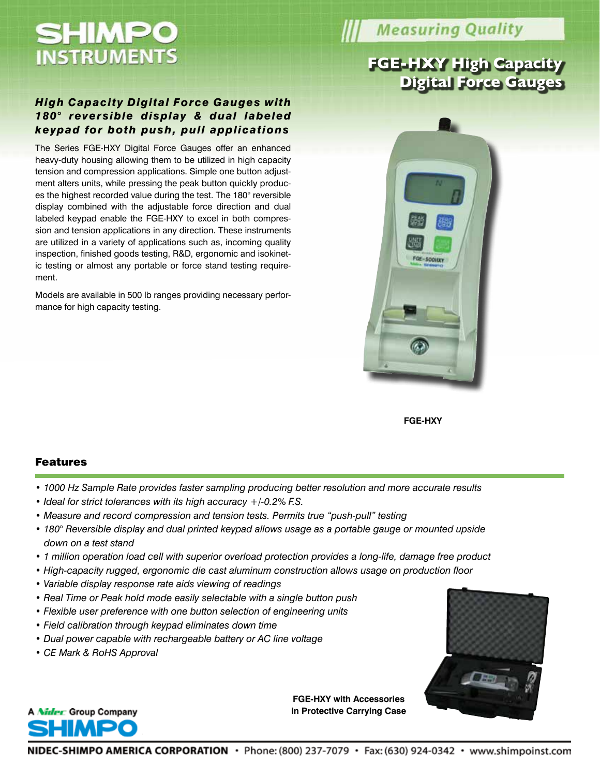

**Measuring Quality** 

# **FGE-HXY High Capacity Digital Force Gauges**

# *High Capacity Digital Force Gauges with 180° reversible display & dual labeled keypad for both push, pull applications*

The Series FGE-HXY Digital Force Gauges offer an enhanced heavy-duty housing allowing them to be utilized in high capacity tension and compression applications. Simple one button adjustment alters units, while pressing the peak button quickly produces the highest recorded value during the test. The 180° reversible display combined with the adjustable force direction and dual labeled keypad enable the FGE-HXY to excel in both compression and tension applications in any direction. These instruments are utilized in a variety of applications such as, incoming quality inspection, finished goods testing, R&D, ergonomic and isokinetic testing or almost any portable or force stand testing requirement.

Models are available in 500 lb ranges providing necessary performance for high capacity testing.



**FGE-HXY**

#### Features

- *1000 Hz Sample Rate provides faster sampling producing better resolution and more accurate results*
- *Ideal for strict tolerances with its high accuracy +/-0.2% F.S.*
- *Measure and record compression and tension tests. Permits true "push-pull" testing*
- *180° Reversible display and dual printed keypad allows usage as a portable gauge or mounted upside down on a test stand*
- *1 million operation load cell with superior overload protection provides a long-life, damage free product*
- *High-capacity rugged, ergonomic die cast aluminum construction allows usage on production floor*
- *Variable display response rate aids viewing of readings*
- *Real Time or Peak hold mode easily selectable with a single button push*
- *Flexible user preference with one button selection of engineering units*
- *Field calibration through keypad eliminates down time*
- *Dual power capable with rechargeable battery or AC line voltage*
- *CE Mark & RoHS Approval*

A Nider Group Company



**FGE-HXY with Accessories in Protective Carrying Case**